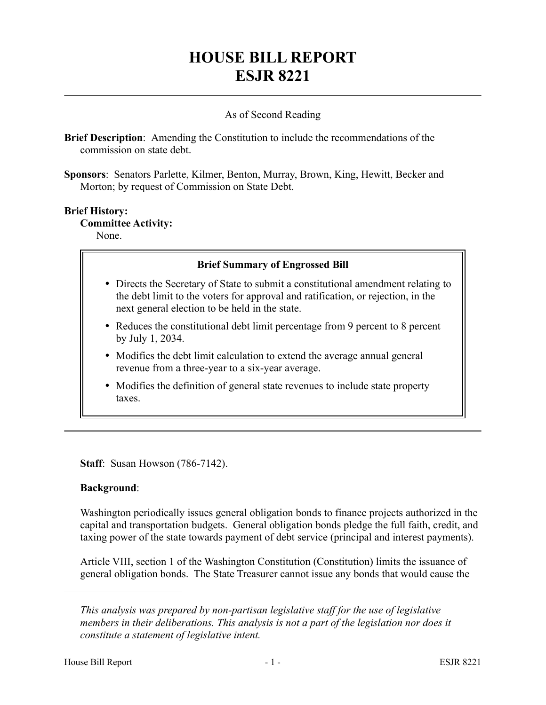# **HOUSE BILL REPORT ESJR 8221**

### As of Second Reading

**Brief Description**: Amending the Constitution to include the recommendations of the commission on state debt.

**Sponsors**: Senators Parlette, Kilmer, Benton, Murray, Brown, King, Hewitt, Becker and Morton; by request of Commission on State Debt.

# **Brief History: Committee Activity:**

None.

#### **Brief Summary of Engrossed Bill**

- Directs the Secretary of State to submit a constitutional amendment relating to the debt limit to the voters for approval and ratification, or rejection, in the next general election to be held in the state.
- Reduces the constitutional debt limit percentage from 9 percent to 8 percent by July 1, 2034.
- Modifies the debt limit calculation to extend the average annual general revenue from a three-year to a six-year average.
- Modifies the definition of general state revenues to include state property taxes.

**Staff**: Susan Howson (786-7142).

#### **Background**:

––––––––––––––––––––––

Washington periodically issues general obligation bonds to finance projects authorized in the capital and transportation budgets. General obligation bonds pledge the full faith, credit, and taxing power of the state towards payment of debt service (principal and interest payments).

Article VIII, section 1 of the Washington Constitution (Constitution) limits the issuance of general obligation bonds. The State Treasurer cannot issue any bonds that would cause the

*This analysis was prepared by non-partisan legislative staff for the use of legislative members in their deliberations. This analysis is not a part of the legislation nor does it constitute a statement of legislative intent.*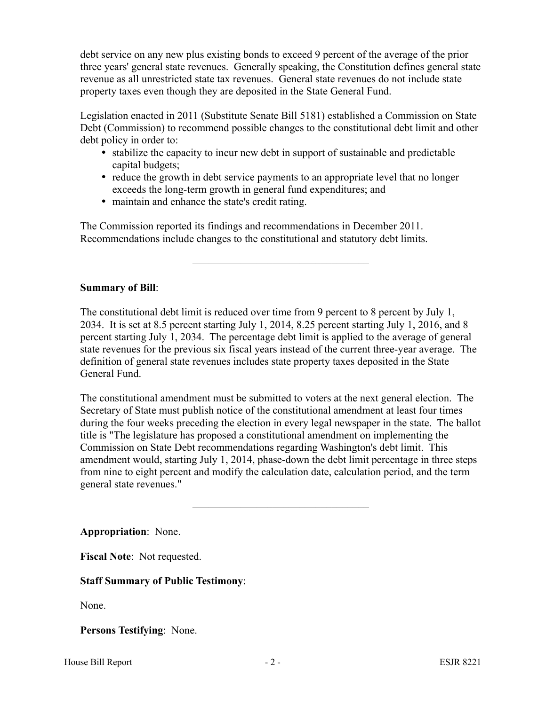debt service on any new plus existing bonds to exceed 9 percent of the average of the prior three years' general state revenues. Generally speaking, the Constitution defines general state revenue as all unrestricted state tax revenues. General state revenues do not include state property taxes even though they are deposited in the State General Fund.

Legislation enacted in 2011 (Substitute Senate Bill 5181) established a Commission on State Debt (Commission) to recommend possible changes to the constitutional debt limit and other debt policy in order to:

- stabilize the capacity to incur new debt in support of sustainable and predictable capital budgets;
- reduce the growth in debt service payments to an appropriate level that no longer exceeds the long-term growth in general fund expenditures; and

–––––––––––––––––––––––––––––––––

maintain and enhance the state's credit rating.

The Commission reported its findings and recommendations in December 2011. Recommendations include changes to the constitutional and statutory debt limits.

# **Summary of Bill**:

The constitutional debt limit is reduced over time from 9 percent to 8 percent by July 1, 2034. It is set at 8.5 percent starting July 1, 2014, 8.25 percent starting July 1, 2016, and 8 percent starting July 1, 2034. The percentage debt limit is applied to the average of general state revenues for the previous six fiscal years instead of the current three-year average. The definition of general state revenues includes state property taxes deposited in the State General Fund.

The constitutional amendment must be submitted to voters at the next general election. The Secretary of State must publish notice of the constitutional amendment at least four times during the four weeks preceding the election in every legal newspaper in the state. The ballot title is "The legislature has proposed a constitutional amendment on implementing the Commission on State Debt recommendations regarding Washington's debt limit. This amendment would, starting July 1, 2014, phase-down the debt limit percentage in three steps from nine to eight percent and modify the calculation date, calculation period, and the term general state revenues."

–––––––––––––––––––––––––––––––––

**Appropriation**: None.

**Fiscal Note**: Not requested.

# **Staff Summary of Public Testimony**:

None.

**Persons Testifying**: None.